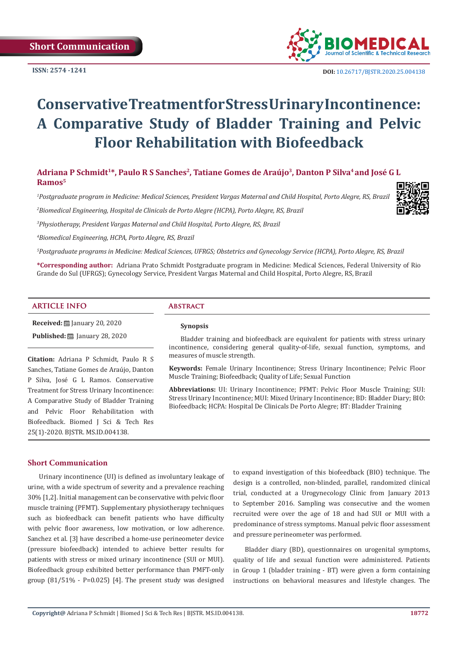

 **DOI:** [10.26717/BJSTR.2020.25.004](http://dx.doi.org/10.26717/BJSTR.2020.25.004138)138

# **Conservative Treatment for Stress Urinary Incontinence: A Comparative Study of Bladder Training and Pelvic Floor Rehabilitation with Biofeedback**

Adriana P Schmidt<sup>1\*</sup>, Paulo R S Sanches<sup>2</sup>, Tatiane Gomes de Araújo<sup>3</sup>, Danton P Silva<sup>4</sup> and José G L **Ramos5**

*1 Postgraduate program in Medicine: Medical Sciences, President Vargas Maternal and Child Hospital, Porto Alegre, RS, Brazil*

*3 Physiotherapy, President Vargas Maternal and Child Hospital, Porto Alegre, RS, Brazil*

*2 Biomedical Engineering, Hospital de Clinicals de Porto Alegre (HCPA), Porto Alegre, RS, Brazil*

*4 Biomedical Engineering, HCPA, Porto Alegre, RS, Brazil*

*5 Postgraduate programs in Medicine: Medical Sciences, UFRGS; Obstetrics and Gynecology Service (HCPA), Porto Alegre, RS, Brazil*

**\*Corresponding author:** Adriana Prato Schmidt Postgraduate program in Medicine: Medical Sciences, Federal University of Rio Grande do Sul (UFRGS); Gynecology Service, President Vargas Maternal and Child Hospital, Porto Alegre, RS, Brazil

#### **ARTICLE INFO Abstract**

**Received:** January 20, 2020 **Published:** ■ January 28, 2020

**Citation:** Adriana P Schmidt, Paulo R S Sanches, Tatiane Gomes de Araújo, Danton P Silva, José G L Ramos. Conservative Treatment for Stress Urinary Incontinence: A Comparative Study of Bladder Training and Pelvic Floor Rehabilitation with Biofeedback. Biomed J Sci & Tech Res 25(1)-2020. BJSTR. MS.ID.004138.

### **Synopsis**

Bladder training and biofeedback are equivalent for patients with stress urinary incontinence, considering general quality-of-life, sexual function, symptoms, and measures of muscle strength.

**Keywords:** Female Urinary Incontinence; Stress Urinary Incontinence; Pelvic Floor Muscle Training; Biofeedback; Quality of Life; Sexual Function

**Abbreviations:** UI: Urinary Incontinence; PFMT: Pelvic Floor Muscle Training; SUI: Stress Urinary Incontinence; MUI: Mixed Urinary Incontinence; BD: Bladder Diary; BIO: Biofeedback; HCPA: Hospital De Clinicals De Porto Alegre; BT: Bladder Training

#### **Short Communication**

Urinary incontinence (UI) is defined as involuntary leakage of urine, with a wide spectrum of severity and a prevalence reaching 30% [1,2]. Initial management can be conservative with pelvic floor muscle training (PFMT). Supplementary physiotherapy techniques such as biofeedback can benefit patients who have difficulty with pelvic floor awareness, low motivation, or low adherence. Sanchez et al. [3] have described a home-use perineometer device (pressure biofeedback) intended to achieve better results for patients with stress or mixed urinary incontinence (SUI or MUI). Biofeedback group exhibited better performance than PMFT-only group (81/51% - P=0.025) [4]. The present study was designed

to expand investigation of this biofeedback (BIO) technique. The design is a controlled, non-blinded, parallel, randomized clinical trial, conducted at a Urogynecology Clinic from January 2013 to September 2016. Sampling was consecutive and the women recruited were over the age of 18 and had SUI or MUI with a predominance of stress symptoms. Manual pelvic floor assessment and pressure perineometer was performed.

Bladder diary (BD), questionnaires on urogenital symptoms, quality of life and sexual function were administered. Patients in Group 1 (bladder training - BT) were given a form containing instructions on behavioral measures and lifestyle changes. The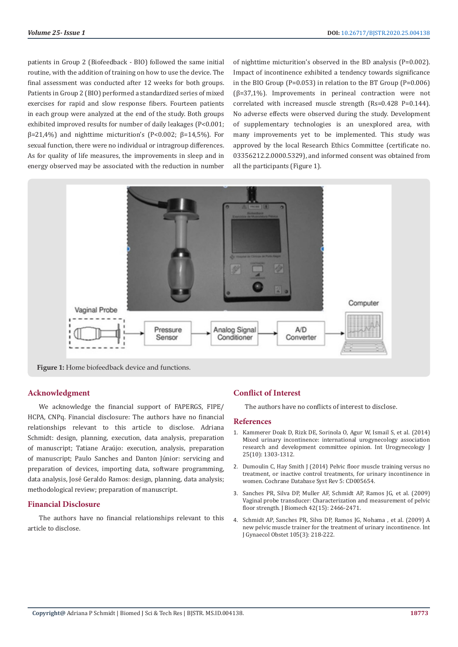patients in Group 2 (Biofeedback - BIO) followed the same initial routine, with the addition of training on how to use the device. The final assessment was conducted after 12 weeks for both groups. Patients in Group 2 (BIO) performed a standardized series of mixed exercises for rapid and slow response fibers. Fourteen patients in each group were analyzed at the end of the study. Both groups exhibited improved results for number of daily leakages (P<0.001; β=21,4%) and nighttime micturition's (P<0.002; β=14,5%). For sexual function, there were no individual or intragroup differences. As for quality of life measures, the improvements in sleep and in energy observed may be associated with the reduction in number of nighttime micturition's observed in the BD analysis (P=0.002). Impact of incontinence exhibited a tendency towards significance in the BIO Group (P=0.053) in relation to the BT Group (P=0.006) ( $\beta$ =37,1%). Improvements in perineal contraction were not correlated with increased muscle strength (Rs=0.428 P=0.144). No adverse effects were observed during the study. Development of supplementary technologies is an unexplored area, with many improvements yet to be implemented. This study was approved by the local Research Ethics Committee (certificate no. 03356212.2.0000.5329), and informed consent was obtained from all the participants (Figure 1).



Figure 1: Home biofeedback device and functions.

#### **Acknowledgment**

We acknowledge the financial support of FAPERGS, FIPE/ HCPA, CNPq. Financial disclosure: The authors have no financial relationships relevant to this article to disclose. Adriana Schmidt: design, planning, execution, data analysis, preparation of manuscript; Tatiane Araújo: execution, analysis, preparation of manuscript; Paulo Sanches and Danton Júnior: servicing and preparation of devices, importing data, software programming, data analysis, José Geraldo Ramos: design, planning, data analysis; methodological review; preparation of manuscript.

#### **Financial Disclosure**

The authors have no financial relationships relevant to this article to disclose.

# **Conflict of Interest**

The authors have no conflicts of interest to disclose.

#### **References**

- 1. [Kammerer Doak D, Rizk DE, Sorinola O, Agur W, Ismail S, et al. \(2014\)](https://www.ncbi.nlm.nih.gov/pubmed/25091925) [Mixed urinary incontinence: international urogynecology association](https://www.ncbi.nlm.nih.gov/pubmed/25091925) [research and development committee opinion. Int Urogynecology J](https://www.ncbi.nlm.nih.gov/pubmed/25091925) [25\(10\): 1303-1312.](https://www.ncbi.nlm.nih.gov/pubmed/25091925)
- 2. [Dumoulin C, Hay Smith J \(2014\) Pelvic floor muscle training versus no](https://www.ncbi.nlm.nih.gov/pubmed/24823491) [treatment, or inactive control treatments, for urinary incontinence in](https://www.ncbi.nlm.nih.gov/pubmed/24823491) [women. Cochrane Database Syst Rev 5: CD005654.](https://www.ncbi.nlm.nih.gov/pubmed/24823491)
- 3. [Sanches PR, Silva DP, Muller AF, Schmidt AP, Ramos JG, et al. \(2009\)](https://www.ncbi.nlm.nih.gov/pubmed/19656514) [Vaginal probe transducer: Characterization and measurement of pelvic](https://www.ncbi.nlm.nih.gov/pubmed/19656514) [floor strength. J Biomech 42\(15\): 2466-2471.](https://www.ncbi.nlm.nih.gov/pubmed/19656514)
- 4. [Schmidt AP, Sanches PR, Silva DP, Ramos JG, Nohama , et al. \(2009\) A](https://www.ncbi.nlm.nih.gov/pubmed/19232601) [new pelvic muscle trainer for the treatment of urinary incontinence. Int](https://www.ncbi.nlm.nih.gov/pubmed/19232601) [J Gynaecol Obstet 105\(3\): 218-222.](https://www.ncbi.nlm.nih.gov/pubmed/19232601)